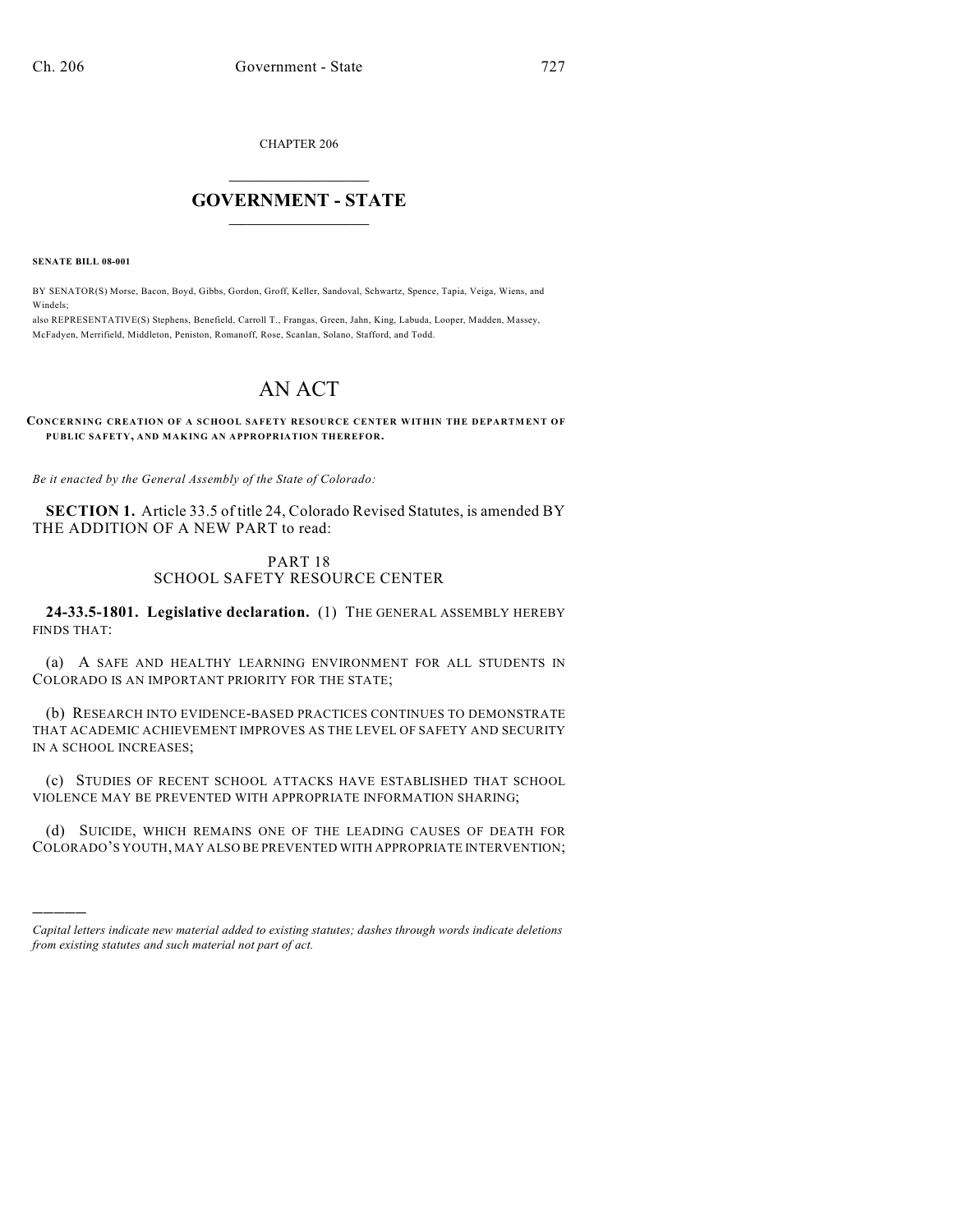CHAPTER 206

## $\overline{\phantom{a}}$  . The set of the set of the set of the set of the set of the set of the set of the set of the set of the set of the set of the set of the set of the set of the set of the set of the set of the set of the set o **GOVERNMENT - STATE**  $\_$

**SENATE BILL 08-001**

)))))

BY SENATOR(S) Morse, Bacon, Boyd, Gibbs, Gordon, Groff, Keller, Sandoval, Schwartz, Spence, Tapia, Veiga, Wiens, and Windels;

also REPRESENTATIVE(S) Stephens, Benefield, Carroll T., Frangas, Green, Jahn, King, Labuda, Looper, Madden, Massey, McFadyen, Merrifield, Middleton, Peniston, Romanoff, Rose, Scanlan, Solano, Stafford, and Todd.

# AN ACT

#### **CONCERNING CREATION OF A SCHOOL SAFETY RESOURCE CENTER WITHIN THE DEPARTMENT OF PUBLIC SAFETY, AND MAKING AN APPROPRIATION THEREFOR.**

*Be it enacted by the General Assembly of the State of Colorado:*

**SECTION 1.** Article 33.5 of title 24, Colorado Revised Statutes, is amended BY THE ADDITION OF A NEW PART to read:

### PART 18 SCHOOL SAFETY RESOURCE CENTER

**24-33.5-1801. Legislative declaration.** (1) THE GENERAL ASSEMBLY HEREBY FINDS THAT:

(a) A SAFE AND HEALTHY LEARNING ENVIRONMENT FOR ALL STUDENTS IN COLORADO IS AN IMPORTANT PRIORITY FOR THE STATE;

(b) RESEARCH INTO EVIDENCE-BASED PRACTICES CONTINUES TO DEMONSTRATE THAT ACADEMIC ACHIEVEMENT IMPROVES AS THE LEVEL OF SAFETY AND SECURITY IN A SCHOOL INCREASES;

(c) STUDIES OF RECENT SCHOOL ATTACKS HAVE ESTABLISHED THAT SCHOOL VIOLENCE MAY BE PREVENTED WITH APPROPRIATE INFORMATION SHARING;

(d) SUICIDE, WHICH REMAINS ONE OF THE LEADING CAUSES OF DEATH FOR COLORADO'S YOUTH, MAY ALSO BE PREVENTED WITH APPROPRIATE INTERVENTION;

*Capital letters indicate new material added to existing statutes; dashes through words indicate deletions from existing statutes and such material not part of act.*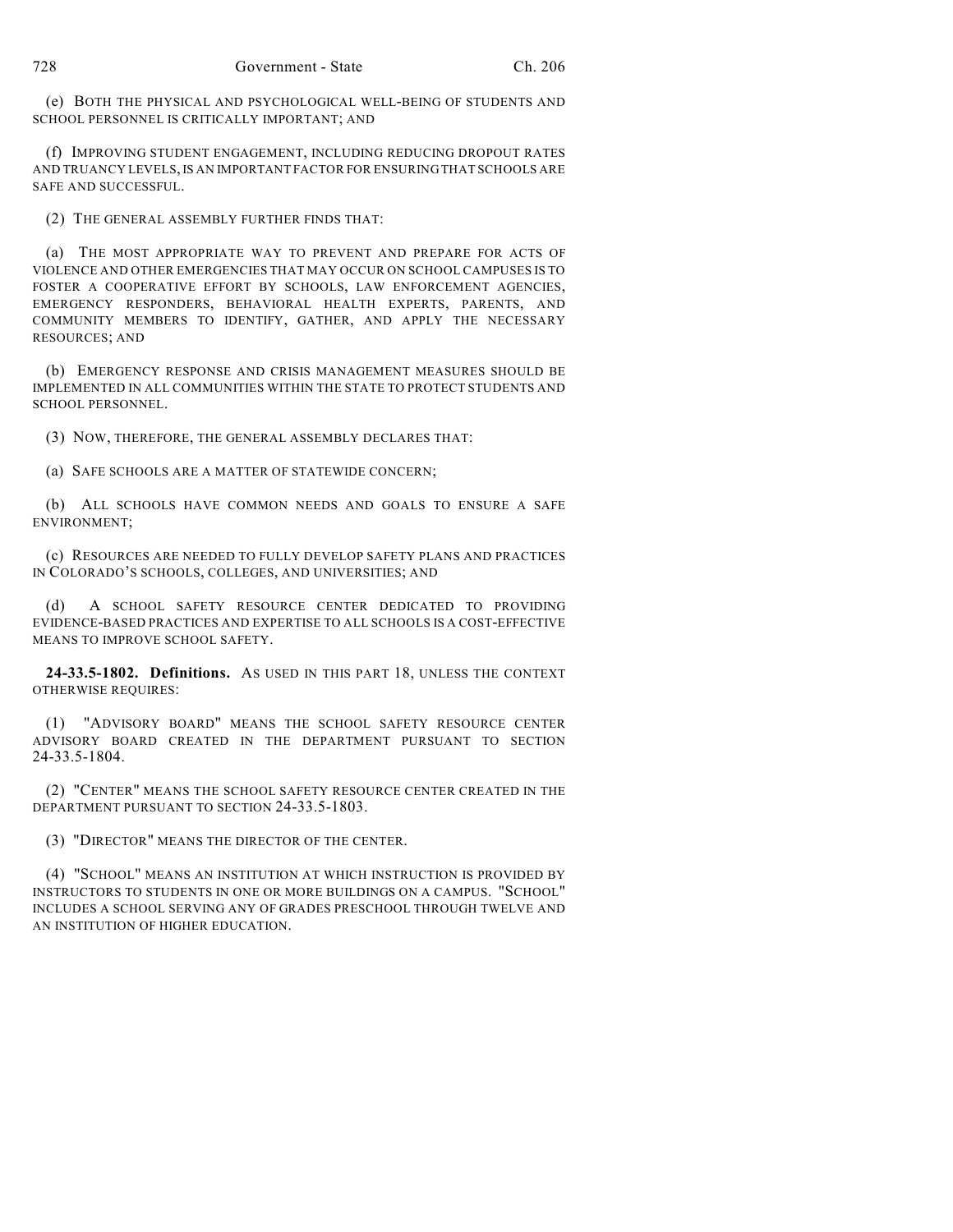(e) BOTH THE PHYSICAL AND PSYCHOLOGICAL WELL-BEING OF STUDENTS AND SCHOOL PERSONNEL IS CRITICALLY IMPORTANT; AND

(f) IMPROVING STUDENT ENGAGEMENT, INCLUDING REDUCING DROPOUT RATES AND TRUANCY LEVELS, IS AN IMPORTANT FACTOR FOR ENSURING THAT SCHOOLS ARE SAFE AND SUCCESSFUL.

(2) THE GENERAL ASSEMBLY FURTHER FINDS THAT:

(a) THE MOST APPROPRIATE WAY TO PREVENT AND PREPARE FOR ACTS OF VIOLENCE AND OTHER EMERGENCIES THAT MAY OCCUR ON SCHOOL CAMPUSES IS TO FOSTER A COOPERATIVE EFFORT BY SCHOOLS, LAW ENFORCEMENT AGENCIES, EMERGENCY RESPONDERS, BEHAVIORAL HEALTH EXPERTS, PARENTS, AND COMMUNITY MEMBERS TO IDENTIFY, GATHER, AND APPLY THE NECESSARY RESOURCES; AND

(b) EMERGENCY RESPONSE AND CRISIS MANAGEMENT MEASURES SHOULD BE IMPLEMENTED IN ALL COMMUNITIES WITHIN THE STATE TO PROTECT STUDENTS AND SCHOOL PERSONNEL.

(3) NOW, THEREFORE, THE GENERAL ASSEMBLY DECLARES THAT:

(a) SAFE SCHOOLS ARE A MATTER OF STATEWIDE CONCERN;

(b) ALL SCHOOLS HAVE COMMON NEEDS AND GOALS TO ENSURE A SAFE ENVIRONMENT;

(c) RESOURCES ARE NEEDED TO FULLY DEVELOP SAFETY PLANS AND PRACTICES IN COLORADO'S SCHOOLS, COLLEGES, AND UNIVERSITIES; AND

(d) A SCHOOL SAFETY RESOURCE CENTER DEDICATED TO PROVIDING EVIDENCE-BASED PRACTICES AND EXPERTISE TO ALL SCHOOLS IS A COST-EFFECTIVE MEANS TO IMPROVE SCHOOL SAFETY.

**24-33.5-1802. Definitions.** AS USED IN THIS PART 18, UNLESS THE CONTEXT OTHERWISE REQUIRES:

(1) "ADVISORY BOARD" MEANS THE SCHOOL SAFETY RESOURCE CENTER ADVISORY BOARD CREATED IN THE DEPARTMENT PURSUANT TO SECTION 24-33.5-1804.

(2) "CENTER" MEANS THE SCHOOL SAFETY RESOURCE CENTER CREATED IN THE DEPARTMENT PURSUANT TO SECTION 24-33.5-1803.

(3) "DIRECTOR" MEANS THE DIRECTOR OF THE CENTER.

(4) "SCHOOL" MEANS AN INSTITUTION AT WHICH INSTRUCTION IS PROVIDED BY INSTRUCTORS TO STUDENTS IN ONE OR MORE BUILDINGS ON A CAMPUS. "SCHOOL" INCLUDES A SCHOOL SERVING ANY OF GRADES PRESCHOOL THROUGH TWELVE AND AN INSTITUTION OF HIGHER EDUCATION.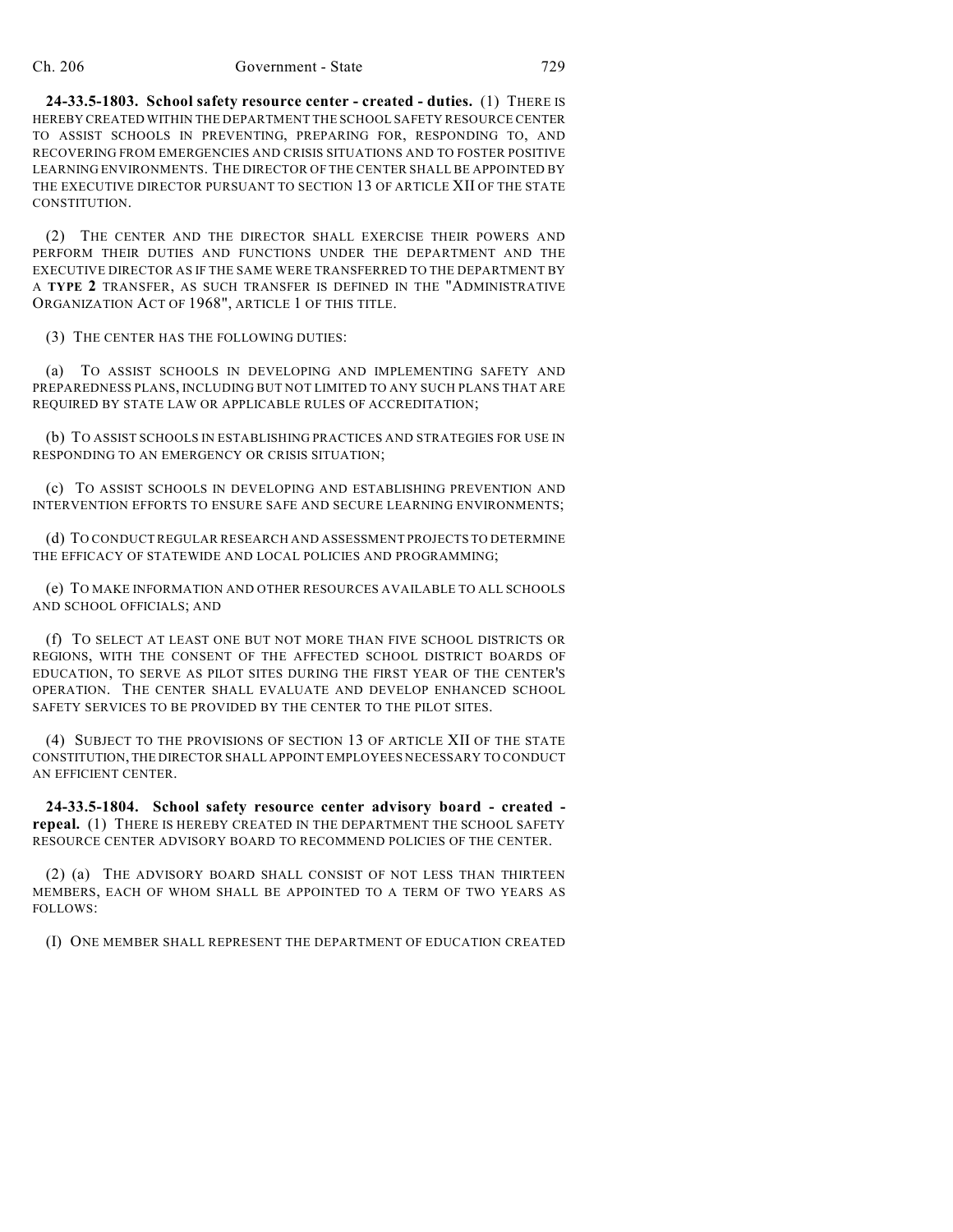#### Ch. 206 Government - State 729

**24-33.5-1803. School safety resource center - created - duties.** (1) THERE IS HEREBY CREATED WITHIN THE DEPARTMENT THE SCHOOL SAFETY RESOURCE CENTER TO ASSIST SCHOOLS IN PREVENTING, PREPARING FOR, RESPONDING TO, AND RECOVERING FROM EMERGENCIES AND CRISIS SITUATIONS AND TO FOSTER POSITIVE LEARNING ENVIRONMENTS. THE DIRECTOR OF THE CENTER SHALL BE APPOINTED BY THE EXECUTIVE DIRECTOR PURSUANT TO SECTION 13 OF ARTICLE XII OF THE STATE CONSTITUTION.

(2) THE CENTER AND THE DIRECTOR SHALL EXERCISE THEIR POWERS AND PERFORM THEIR DUTIES AND FUNCTIONS UNDER THE DEPARTMENT AND THE EXECUTIVE DIRECTOR AS IF THE SAME WERE TRANSFERRED TO THE DEPARTMENT BY A **TYPE 2** TRANSFER, AS SUCH TRANSFER IS DEFINED IN THE "ADMINISTRATIVE ORGANIZATION ACT OF 1968", ARTICLE 1 OF THIS TITLE.

(3) THE CENTER HAS THE FOLLOWING DUTIES:

(a) TO ASSIST SCHOOLS IN DEVELOPING AND IMPLEMENTING SAFETY AND PREPAREDNESS PLANS, INCLUDING BUT NOT LIMITED TO ANY SUCH PLANS THAT ARE REQUIRED BY STATE LAW OR APPLICABLE RULES OF ACCREDITATION;

(b) TO ASSIST SCHOOLS IN ESTABLISHING PRACTICES AND STRATEGIES FOR USE IN RESPONDING TO AN EMERGENCY OR CRISIS SITUATION;

(c) TO ASSIST SCHOOLS IN DEVELOPING AND ESTABLISHING PREVENTION AND INTERVENTION EFFORTS TO ENSURE SAFE AND SECURE LEARNING ENVIRONMENTS;

(d) TO CONDUCT REGULAR RESEARCH AND ASSESSMENT PROJECTS TO DETERMINE THE EFFICACY OF STATEWIDE AND LOCAL POLICIES AND PROGRAMMING;

(e) TO MAKE INFORMATION AND OTHER RESOURCES AVAILABLE TO ALL SCHOOLS AND SCHOOL OFFICIALS; AND

(f) TO SELECT AT LEAST ONE BUT NOT MORE THAN FIVE SCHOOL DISTRICTS OR REGIONS, WITH THE CONSENT OF THE AFFECTED SCHOOL DISTRICT BOARDS OF EDUCATION, TO SERVE AS PILOT SITES DURING THE FIRST YEAR OF THE CENTER'S OPERATION. THE CENTER SHALL EVALUATE AND DEVELOP ENHANCED SCHOOL SAFETY SERVICES TO BE PROVIDED BY THE CENTER TO THE PILOT SITES.

(4) SUBJECT TO THE PROVISIONS OF SECTION 13 OF ARTICLE XII OF THE STATE CONSTITUTION, THE DIRECTOR SHALL APPOINT EMPLOYEES NECESSARY TO CONDUCT AN EFFICIENT CENTER.

**24-33.5-1804. School safety resource center advisory board - created repeal.** (1) THERE IS HEREBY CREATED IN THE DEPARTMENT THE SCHOOL SAFETY RESOURCE CENTER ADVISORY BOARD TO RECOMMEND POLICIES OF THE CENTER.

(2) (a) THE ADVISORY BOARD SHALL CONSIST OF NOT LESS THAN THIRTEEN MEMBERS, EACH OF WHOM SHALL BE APPOINTED TO A TERM OF TWO YEARS AS FOLLOWS:

(I) ONE MEMBER SHALL REPRESENT THE DEPARTMENT OF EDUCATION CREATED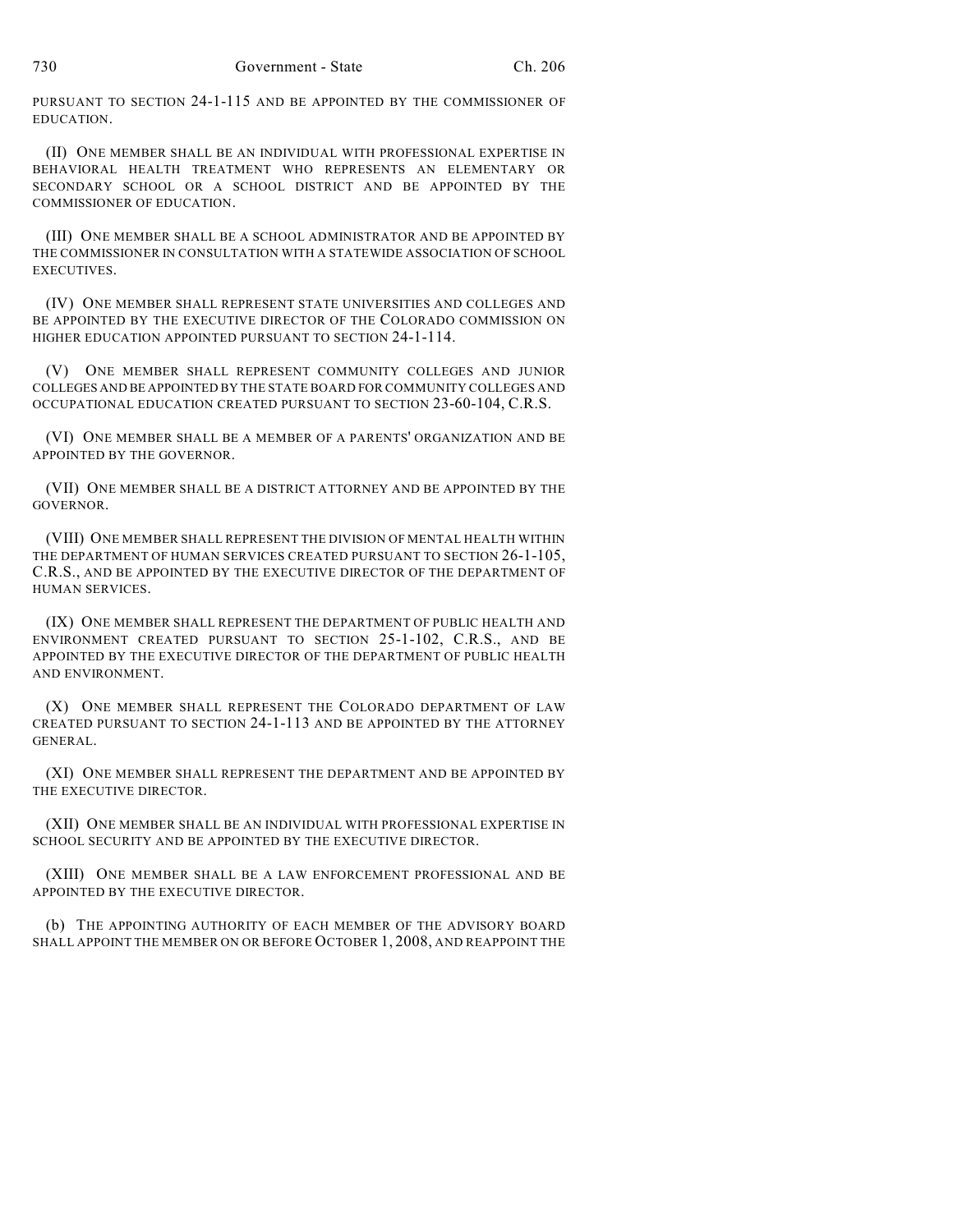PURSUANT TO SECTION 24-1-115 AND BE APPOINTED BY THE COMMISSIONER OF EDUCATION.

(II) ONE MEMBER SHALL BE AN INDIVIDUAL WITH PROFESSIONAL EXPERTISE IN BEHAVIORAL HEALTH TREATMENT WHO REPRESENTS AN ELEMENTARY OR SECONDARY SCHOOL OR A SCHOOL DISTRICT AND BE APPOINTED BY THE COMMISSIONER OF EDUCATION.

(III) ONE MEMBER SHALL BE A SCHOOL ADMINISTRATOR AND BE APPOINTED BY THE COMMISSIONER IN CONSULTATION WITH A STATEWIDE ASSOCIATION OF SCHOOL EXECUTIVES.

(IV) ONE MEMBER SHALL REPRESENT STATE UNIVERSITIES AND COLLEGES AND BE APPOINTED BY THE EXECUTIVE DIRECTOR OF THE COLORADO COMMISSION ON HIGHER EDUCATION APPOINTED PURSUANT TO SECTION 24-1-114.

(V) ONE MEMBER SHALL REPRESENT COMMUNITY COLLEGES AND JUNIOR COLLEGES AND BE APPOINTED BY THE STATE BOARD FOR COMMUNITY COLLEGES AND OCCUPATIONAL EDUCATION CREATED PURSUANT TO SECTION 23-60-104, C.R.S.

(VI) ONE MEMBER SHALL BE A MEMBER OF A PARENTS' ORGANIZATION AND BE APPOINTED BY THE GOVERNOR.

(VII) ONE MEMBER SHALL BE A DISTRICT ATTORNEY AND BE APPOINTED BY THE GOVERNOR.

(VIII) ONE MEMBER SHALL REPRESENT THE DIVISION OF MENTAL HEALTH WITHIN THE DEPARTMENT OF HUMAN SERVICES CREATED PURSUANT TO SECTION 26-1-105, C.R.S., AND BE APPOINTED BY THE EXECUTIVE DIRECTOR OF THE DEPARTMENT OF HUMAN SERVICES.

(IX) ONE MEMBER SHALL REPRESENT THE DEPARTMENT OF PUBLIC HEALTH AND ENVIRONMENT CREATED PURSUANT TO SECTION 25-1-102, C.R.S., AND BE APPOINTED BY THE EXECUTIVE DIRECTOR OF THE DEPARTMENT OF PUBLIC HEALTH AND ENVIRONMENT.

(X) ONE MEMBER SHALL REPRESENT THE COLORADO DEPARTMENT OF LAW CREATED PURSUANT TO SECTION 24-1-113 AND BE APPOINTED BY THE ATTORNEY GENERAL.

(XI) ONE MEMBER SHALL REPRESENT THE DEPARTMENT AND BE APPOINTED BY THE EXECUTIVE DIRECTOR.

(XII) ONE MEMBER SHALL BE AN INDIVIDUAL WITH PROFESSIONAL EXPERTISE IN SCHOOL SECURITY AND BE APPOINTED BY THE EXECUTIVE DIRECTOR.

(XIII) ONE MEMBER SHALL BE A LAW ENFORCEMENT PROFESSIONAL AND BE APPOINTED BY THE EXECUTIVE DIRECTOR.

(b) THE APPOINTING AUTHORITY OF EACH MEMBER OF THE ADVISORY BOARD SHALL APPOINT THE MEMBER ON OR BEFORE OCTOBER 1, 2008, AND REAPPOINT THE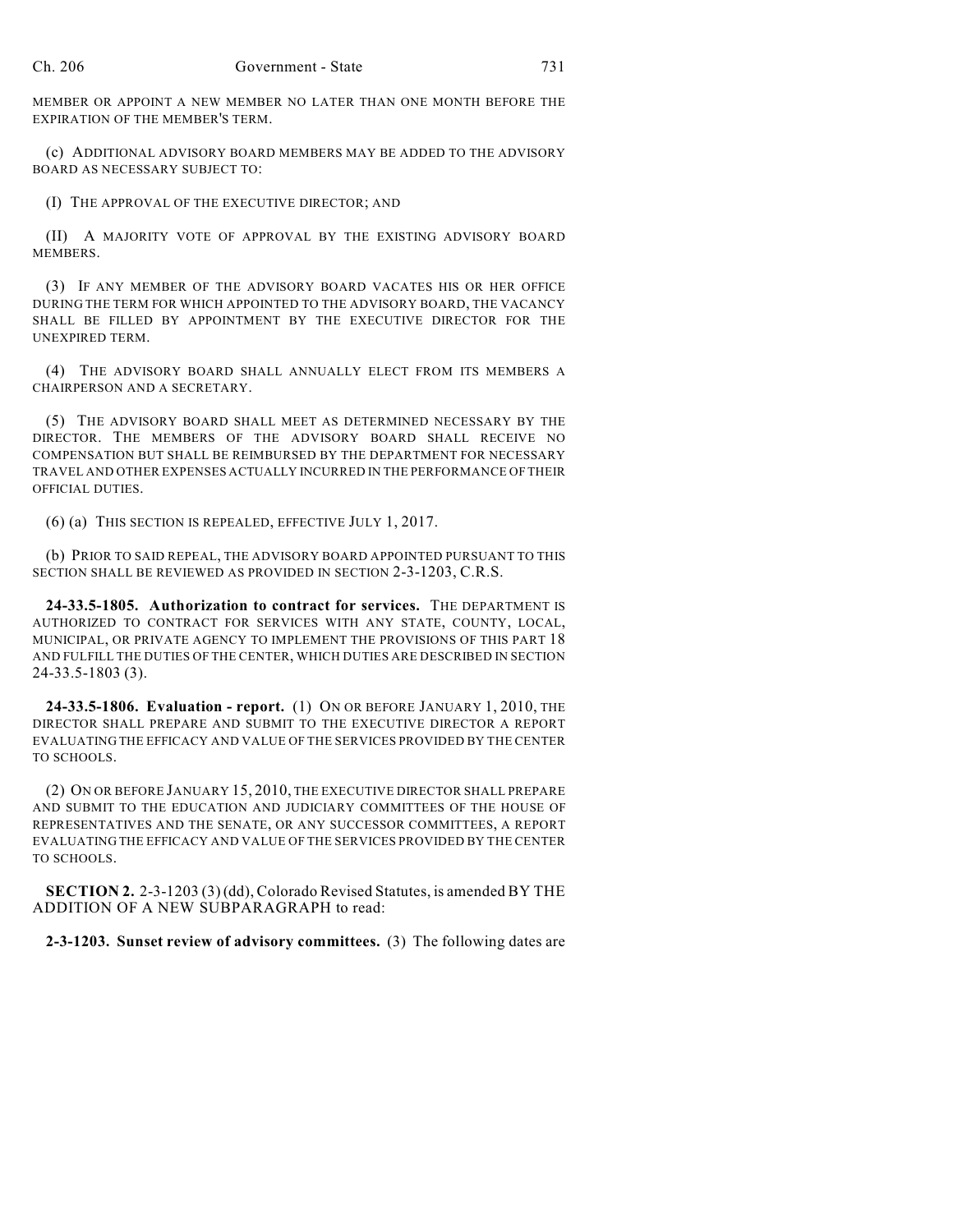MEMBER OR APPOINT A NEW MEMBER NO LATER THAN ONE MONTH BEFORE THE EXPIRATION OF THE MEMBER'S TERM.

(c) ADDITIONAL ADVISORY BOARD MEMBERS MAY BE ADDED TO THE ADVISORY BOARD AS NECESSARY SUBJECT TO:

(I) THE APPROVAL OF THE EXECUTIVE DIRECTOR; AND

(II) A MAJORITY VOTE OF APPROVAL BY THE EXISTING ADVISORY BOARD MEMBERS.

(3) IF ANY MEMBER OF THE ADVISORY BOARD VACATES HIS OR HER OFFICE DURING THE TERM FOR WHICH APPOINTED TO THE ADVISORY BOARD, THE VACANCY SHALL BE FILLED BY APPOINTMENT BY THE EXECUTIVE DIRECTOR FOR THE UNEXPIRED TERM.

(4) THE ADVISORY BOARD SHALL ANNUALLY ELECT FROM ITS MEMBERS A CHAIRPERSON AND A SECRETARY.

(5) THE ADVISORY BOARD SHALL MEET AS DETERMINED NECESSARY BY THE DIRECTOR. THE MEMBERS OF THE ADVISORY BOARD SHALL RECEIVE NO COMPENSATION BUT SHALL BE REIMBURSED BY THE DEPARTMENT FOR NECESSARY TRAVEL AND OTHER EXPENSES ACTUALLY INCURRED IN THE PERFORMANCE OF THEIR OFFICIAL DUTIES.

(6) (a) THIS SECTION IS REPEALED, EFFECTIVE JULY 1, 2017.

(b) PRIOR TO SAID REPEAL, THE ADVISORY BOARD APPOINTED PURSUANT TO THIS SECTION SHALL BE REVIEWED AS PROVIDED IN SECTION 2-3-1203, C.R.S.

**24-33.5-1805. Authorization to contract for services.** THE DEPARTMENT IS AUTHORIZED TO CONTRACT FOR SERVICES WITH ANY STATE, COUNTY, LOCAL, MUNICIPAL, OR PRIVATE AGENCY TO IMPLEMENT THE PROVISIONS OF THIS PART 18 AND FULFILL THE DUTIES OF THE CENTER, WHICH DUTIES ARE DESCRIBED IN SECTION 24-33.5-1803 (3).

**24-33.5-1806. Evaluation - report.** (1) ON OR BEFORE JANUARY 1, 2010, THE DIRECTOR SHALL PREPARE AND SUBMIT TO THE EXECUTIVE DIRECTOR A REPORT EVALUATING THE EFFICACY AND VALUE OF THE SERVICES PROVIDED BY THE CENTER TO SCHOOLS.

(2) ON OR BEFORE JANUARY 15, 2010, THE EXECUTIVE DIRECTOR SHALL PREPARE AND SUBMIT TO THE EDUCATION AND JUDICIARY COMMITTEES OF THE HOUSE OF REPRESENTATIVES AND THE SENATE, OR ANY SUCCESSOR COMMITTEES, A REPORT EVALUATING THE EFFICACY AND VALUE OF THE SERVICES PROVIDED BY THE CENTER TO SCHOOLS.

**SECTION 2.** 2-3-1203 (3) (dd), Colorado Revised Statutes, is amended BY THE ADDITION OF A NEW SUBPARAGRAPH to read:

**2-3-1203. Sunset review of advisory committees.** (3) The following dates are